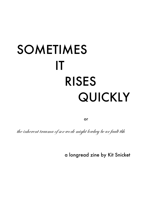## SOMETIMES IT RISES QUICKLY

or

the inherent trauma of sex work might lowkey be ur fault tbh

a longread zine by Kit Snicket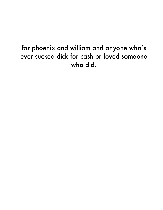## for phoenix and william and anyone who's ever sucked dick for cash or loved someone who did.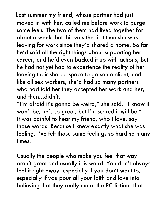Last summer my friend, whose partner had just moved in with her, called me before work to purge some feels. The two of them had lived together for about a week, but this was the first time she was leaving for work since they'd shared a home. So far he'd said all the right things about supporting her career, and he'd even backed it up with actions, but he had not yet had to experience the reality of her leaving their shared space to go see a client, and like all sex workers, she'd had so many partners who had told her they accepted her work and her, and then…didn't.

"I'm afraid it's gonna be weird," she said, "I know it won't be, he's so great, but I'm scared it will be." It was painful to hear my friend, who I love, say those words. Because I knew exactly what she was feeling, I've felt those same feelings so hard so many times.

Usually the people who make you feel that way aren't great and usually it is weird. You don't always feel it right away, especially if you don't want to, especially if you pour all your faith and love into believing that they really mean the PC fictions that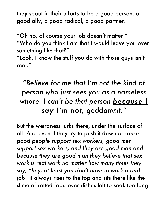they spout in their efforts to be a good person, a good ally, a good radical, a good partner.

"Oh no, of course your job doesn't matter."

"Who do you think I am that I would leave you over something like that?"

"Look, I know the stuff you do with those guys isn't real."

## *"Believe for me that I'm not the kind of person who just sees you as a nameless whore. I can't be that person because I say I'm not, goddamnit."*

But the weirdness lurks there, under the surface of all. And even if they try to push it down *because good people support sex workers, good men support sex workers, and they are good man and because they are good man they believe that sex work is real work no matter how many times they say, "hey, at least you don't have to work a real job"* it always rises to the top and sits there like the slime of rotted food over dishes left to soak too long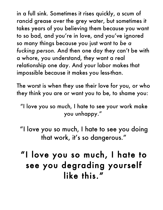in a full sink. Sometimes it rises quickly, a scum of rancid grease over the grey water, but sometimes it takes years of you believing them because you want to so bad, and you're in love, and you've ignored so many things because you just want to *be a fucking person.* And then one day they can't be with a whore, you understand, they want a real relationship one day. And your labor makes that impossible because it makes you less-than.

The worst is when they use their love for you, or who they think you are or want you to be, to shame you:

"I love you so much, I hate to see your work make you unhappy."

"I love you so much, I hate to see you doing that work, it's so dangerous."

"I love you so much, I hate to see you degrading yourself like this."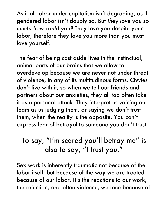As if all labor under capitalism isn't degrading, as if gendered labor isn't doubly so. But *they love you so much, how could you?* They love you despite your labor, therefore they love you more than you must love yourself.

The fear of being cast aside lives in the instinctual, animal parts of our brains that we allow to overdevelop because we are never not under threat of violence, in any of its multitudinous forms. Civvies don't live with it, so when we tell our friends and partners about our anxieties, they all too often take it as a personal attack. They interpret us voicing our fears as us judging them, or saying we don't trust them, when the reality is the opposite. You can't express fear of betrayal to someone you don't trust.

## To say, "I'm scared you'll betray me" is also to say, "I trust you."

Sex work is inherently traumatic not because of the labor itself, but because of the way we are treated because of our labor. It's the reactions to our work, the rejection, and often violence, we face because of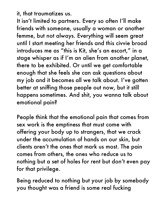it, that traumatizes us.

It isn't limited to partners. Every so often I'll make friends with someone, usually a woman or another femme, but not always. Everything will seem great until I start meeting her friends and this civvie broad introduces me as "this is Kit, she's an escort," in a stage whisper as if I'm an alien from another planet, there to be exhibited. Or until we get comfortable enough that she feels she can ask questions about my job and it becomes all we talk about. I've gotten better at sniffing those people out now, but it still happens sometimes. And shit, you wanna talk about emotional pain?

People think that the emotional pain that comes from sex work is the emptiness that must come with offering your body up to strangers, that we crack under the accumulation of hands on our skin, but clients aren't the ones that mark us most. The pain comes from others, the ones who reduce us to nothing but a set of holes for rent but don't even pay for that privilege.

Being reduced to nothing but your job by somebody you thought was a friend is some real fucking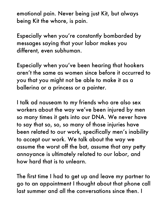emotional pain. Never being just Kit, but always being Kit the whore, is pain.

Especially when you're constantly bombarded by messages saying that your labor makes you different, even subhuman.

Especially when you've been hearing that hookers aren't the same as women since before it occurred to you that you might not be able to make it as a ballerina or a princess or a painter.

I talk ad nauseam to my friends who are also sex workers about the way we've been injured by men so many times it gets into our DNA. We never have to say that so, so, so many of those injuries have been related to our work, specifically men's inability to accept our work. We talk about the way we assume the worst off the bat, assume that any petty annoyance is ultimately related to our labor, and how hard that is to unlearn.

The first time I had to get up and leave my partner to go to an appointment I thought about that phone call last summer and all the conversations since then. I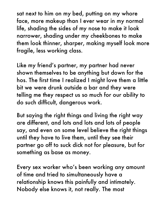sat next to him on my bed, putting on my whore face, more makeup than I ever wear in my normal life, shading the sides of my nose to make it look narrower, shading under my cheekbones to make them look thinner, sharper, making myself look more fragile, less working class.

Like my friend's partner, my partner had never shown themselves to be anything but down for the hos. The first time I realized I might love them a little bit we were drunk outside a bar and they were telling me they respect us so much for our ability to do such difficult, dangerous work.

But saying the right things and living the right way are different, and lots and lots and lots of people say, and even on some level believe the right things until they have to live them, until they see their partner go off to suck dick not for pleasure, but for something as base as money.

Every sex worker who's been working any amount of time and tried to simultaneously have a relationship knows this painfully and intimately. Nobody else knows it, not really. The most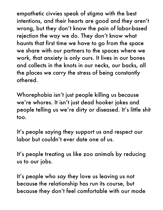empathetic civvies speak of stigma with the best intentions, and their hearts are good and they aren't wrong, but they don't know the pain of labor-based rejection the way we do. They don't know what haunts that first time we have to go from the space we share with our partners to the spaces where we work, that anxiety is only ours. It lives in our bones and collects in the knots in our necks, our backs, all the places we carry the stress of being constantly othered.

Whorephobia isn't just people killing us because we're whores. It isn't just dead hooker jokes and people telling us we're dirty or diseased. It's little shit too.

It's people saying they support us and respect our labor but couldn't ever date one of us.

It's people treating us like zoo animals by reducing us to our jobs.

It's people who say they love us leaving us not because the relationship has run its course, but because they don't feel comfortable with our mode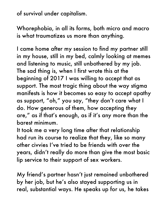of survival under capitalism.

Whorephobia, in all its forms, both micro and macro is what traumatizes us more than anything.

I came home after my session to find my partner still in my house, still in my bed, calmly looking at memes and listening to music, still unbothered by my job. The sad thing is, when I first wrote this at the beginning of 2017 I was willing to accept that as support. The most tragic thing about the way stigma manifests is how it becomes so easy to accept apathy as support, "oh," you say, "they don't care what I do. How generous of them, how accepting they are," as if that's enough, as if it's any more than the barest minimum.

It took me a very long time after that relationship had run its course to realize that they, like so many other civvies I've tried to be friends with over the years, didn't really do more than give the most basic lip service to their support of sex workers.

My friend's partner hasn't just remained unbothered by her job, but he's also stayed supporting us in real, substantial ways. He speaks up for us, he takes